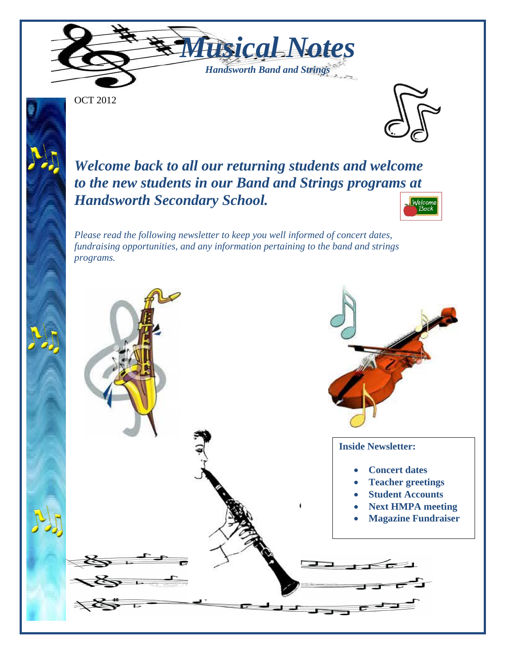

OCT 2012



*Welcome back to all our returning students and welcome to the new students in our Band and Strings programs at Handsworth Secondary School.* Welcom

*Please read the following newsletter to keep you well informed of concert dates, fundraising opportunities, and any information pertaining to the band and strings programs.*

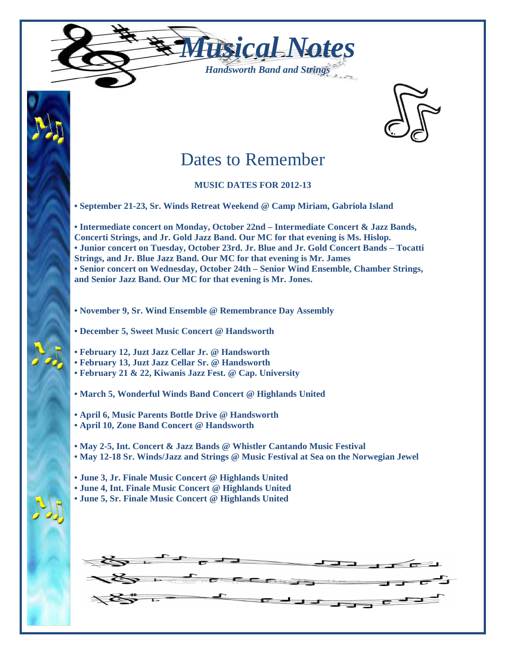



# Dates to Remember

### **MUSIC DATES FOR 2012-13**

**• September 21-23, Sr. Winds Retreat Weekend @ Camp Miriam, Gabriola Island**

**• Intermediate concert on Monday, October 22nd – Intermediate Concert & Jazz Bands, Concerti Strings, and Jr. Gold Jazz Band. Our MC for that evening is Ms. Hislop. • Junior concert on Tuesday, October 23rd. Jr. Blue and Jr. Gold Concert Bands – Tocatti Strings, and Jr. Blue Jazz Band. Our MC for that evening is Mr. James • Senior concert on Wednesday, October 24th – Senior Wind Ensemble, Chamber Strings, and Senior Jazz Band. Our MC for that evening is Mr. Jones.**

- **November 9, Sr. Wind Ensemble @ Remembrance Day Assembly**
- **December 5, Sweet Music Concert @ Handsworth**
- **February 12, Juzt Jazz Cellar Jr. @ Handsworth**
- **February 13, Juzt Jazz Cellar Sr. @ Handsworth**
- **February 21 & 22, Kiwanis Jazz Fest. @ Cap. University**
- **March 5, Wonderful Winds Band Concert @ Highlands United**
- **April 6, Music Parents Bottle Drive @ Handsworth**
- **April 10, Zone Band Concert @ Handsworth**
- **May 2-5, Int. Concert & Jazz Bands @ Whistler Cantando Music Festival**
- **• May 12-18 Sr. Winds/Jazz and Strings @ Music Festival at Sea on the Norwegian Jewel**
- **• June 3, Jr. Finale Music Concert @ Highlands United**
- **• June 4, Int. Finale Music Concert @ Highlands United**
- **• June 5, Sr. Finale Music Concert @ Highlands United**

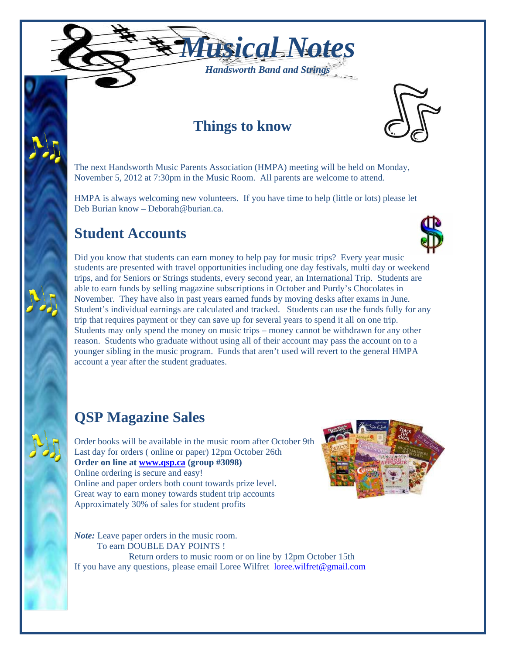

### **Things to know**



The next Handsworth Music Parents Association (HMPA) meeting will be held on Monday, November 5, 2012 at 7:30pm in the Music Room. All parents are welcome to attend.

HMPA is always welcoming new volunteers. If you have time to help (little or lots) please let Deb Burian know – Deborah@burian.ca.

### **Student Accounts**



Did you know that students can earn money to help pay for music trips? Every year music students are presented with travel opportunities including one day festivals, multi day or weekend trips, and for Seniors or Strings students, every second year, an International Trip. Students are able to earn funds by selling magazine subscriptions in October and Purdy's Chocolates in November. They have also in past years earned funds by moving desks after exams in June. Student's individual earnings are calculated and tracked. Students can use the funds fully for any trip that requires payment or they can save up for several years to spend it all on one trip. Students may only spend the money on music trips – money cannot be withdrawn for any other reason. Students who graduate without using all of their account may pass the account on to a younger sibling in the music program. Funds that aren't used will revert to the general HMPA account a year after the student graduates.

## **QSP Magazine Sales**

Order books will be available in the music room after October 9th Last day for orders ( online or paper) 12pm October 26th **Order on line at [www.qsp.ca](http://www.qsp.ca/) (group #3098)** Online ordering is secure and easy! Online and paper orders both count towards prize level. Great way to earn money towards student trip accounts Approximately 30% of sales for student profits



*Note:* Leave paper orders in the music room. To earn DOUBLE DAY POINTS ! Return orders to music room or on line by 12pm October 15th If you have any questions, please email Loree Wilfret [loree.wilfret@gmail.com](mailto:loree.wilfret@gmail.com)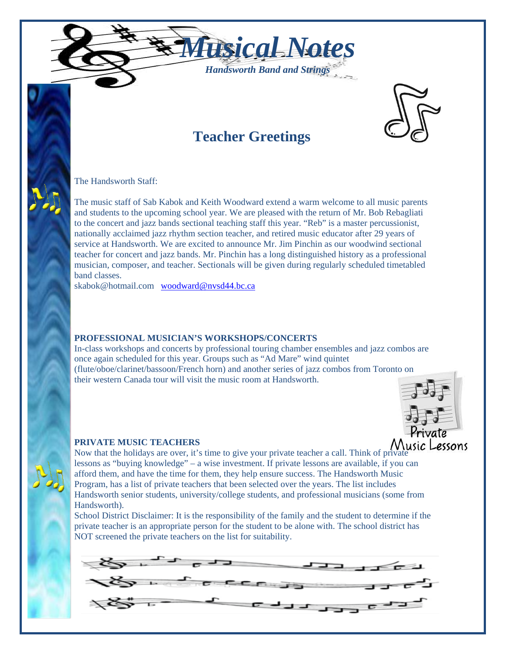



## **Teacher Greetings**

The Handsworth Staff:

The music staff of Sab Kabok and Keith Woodward extend a warm welcome to all music parents and students to the upcoming school year. We are pleased with the return of Mr. Bob Rebagliati to the concert and jazz bands sectional teaching staff this year. "Reb" is a master percussionist, nationally acclaimed jazz rhythm section teacher, and retired music educator after 29 years of service at Handsworth. We are excited to announce Mr. Jim Pinchin as our woodwind sectional teacher for concert and jazz bands. Mr. Pinchin has a long distinguished history as a professional musician, composer, and teacher. Sectionals will be given during regularly scheduled timetabled band classes.

skabok@hotmail.com [woodward@nvsd44.bc.ca](mailto:woodward@nvsd44.bc.ca)

#### **PROFESSIONAL MUSICIAN'S WORKSHOPS/CONCERTS**

In-class workshops and concerts by professional touring chamber ensembles and jazz combos are once again scheduled for this year. Groups such as "Ad Mare" wind quintet (flute/oboe/clarinet/bassoon/French horn) and another series of jazz combos from Toronto on their western Canada tour will visit the music room at Handsworth.



#### **PRIVATE MUSIC TEACHERS**

Now that the holidays are over, it's time to give your private teacher a call. Think of private lessons as "buying knowledge" – a wise investment. If private lessons are available, if you can afford them, and have the time for them, they help ensure success. The Handsworth Music Program, has a list of private teachers that been selected over the years. The list includes Handsworth senior students, university/college students, and professional musicians (some from Handsworth).

School District Disclaimer: It is the responsibility of the family and the student to determine if the private teacher is an appropriate person for the student to be alone with. The school district has NOT screened the private teachers on the list for suitability.